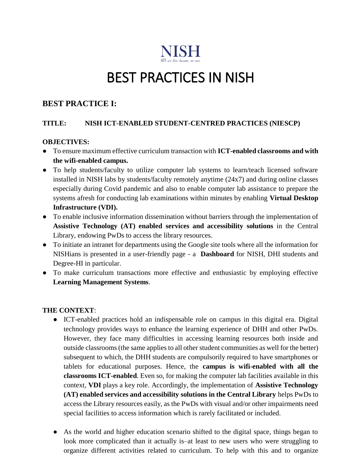

# BEST PRACTICES IN NISH

# **BEST PRACTICE I:**

### **TITLE: NISH ICT-ENABLED STUDENT-CENTRED PRACTICES (NIESCP)**

#### **OBJECTIVES:**

- To ensure maximum effective curriculum transaction with **ICT-enabled classrooms and with the wifi-enabled campus.**
- To help students/faculty to utilize computer lab systems to learn/teach licensed software installed in NISH labs by students/faculty remotely anytime (24x7) and during online classes especially during Covid pandemic and also to enable computer lab assistance to prepare the systems afresh for conducting lab examinations within minutes by enabling **Virtual Desktop Infrastructure (VDI).**
- To enable inclusive information dissemination without barriers through the implementation of **Assistive Technology (AT) enabled services and accessibility solutions** in the Central Library, endowing PwDs to access the library resources.
- To initiate an intranet for departments using the Google site tools where all the information for NISHians is presented in a user-friendly page - a **Dashboard** for NISH, DHI students and Degree-HI in particular.
- To make curriculum transactions more effective and enthusiastic by employing effective **Learning Management Systems**.

#### **THE CONTEXT**:

- ICT-enabled practices hold an indispensable role on campus in this digital era. Digital technology provides ways to enhance the learning experience of DHH and other PwDs. However, they face many difficulties in accessing learning resources both inside and outside classrooms (the same applies to all other student communities as well for the better) subsequent to which, the DHH students are compulsorily required to have smartphones or tablets for educational purposes. Hence, the **campus is wifi-enabled with all the classrooms ICT-enabled**. Even so, for making the computer lab facilities available in this context, **VDI** plays a key role. Accordingly, the implementation of **Assistive Technology (AT) enabled services and accessibility solutions in the Central Library** helps PwDs to access the Library resources easily, as the PwDs with visual and/or other impairments need special facilities to access information which is rarely facilitated or included.
- As the world and higher education scenario shifted to the digital space, things began to look more complicated than it actually is–at least to new users who were struggling to organize different activities related to curriculum. To help with this and to organize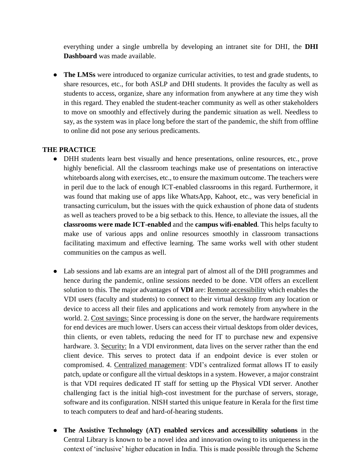everything under a single umbrella by developing an intranet site for DHI, the **DHI Dashboard** was made available.

• **The LMSs** were introduced to organize curricular activities, to test and grade students, to share resources, etc., for both ASLP and DHI students. It provides the faculty as well as students to access, organize, share any information from anywhere at any time they wish in this regard. They enabled the student-teacher community as well as other stakeholders to move on smoothly and effectively during the pandemic situation as well. Needless to say, as the system was in place long before the start of the pandemic, the shift from offline to online did not pose any serious predicaments.

#### **THE PRACTICE**

- DHH students learn best visually and hence presentations, online resources, etc., prove highly beneficial. All the classroom teachings make use of presentations on interactive whiteboards along with exercises, etc., to ensure the maximum outcome. The teachers were in peril due to the lack of enough ICT-enabled classrooms in this regard. Furthermore, it was found that making use of apps like WhatsApp, Kahoot, etc., was very beneficial in transacting curriculum, but the issues with the quick exhaustion of phone data of students as well as teachers proved to be a big setback to this. Hence, to alleviate the issues, all the **classrooms were made ICT-enabled** and the **campus wifi-enabled**. This helps faculty to make use of various apps and online resources smoothly in classroom transactions facilitating maximum and effective learning. The same works well with other student communities on the campus as well.
- Lab sessions and lab exams are an integral part of almost all of the DHI programmes and hence during the pandemic, online sessions needed to be done. VDI offers an excellent solution to this. The major advantages of **VDI** are: Remote accessibility which enables the VDI users (faculty and students) to connect to their virtual desktop from any location or device to access all their files and applications and work remotely from anywhere in the world. 2. Cost savings: Since processing is done on the server, the hardware requirements for end devices are much lower. Users can access their virtual desktops from older devices, thin clients, or even tablets, reducing the need for IT to purchase new and expensive hardware. 3. Security: In a VDI environment, data lives on the server rather than the end client device. This serves to protect data if an endpoint device is ever stolen or compromised. 4. Centralized management: VDI's centralized format allows IT to easily patch, update or configure all the virtual desktops in a system. However, a major constraint is that VDI requires dedicated IT staff for setting up the Physical VDI server. Another challenging fact is the initial high-cost investment for the purchase of servers, storage, software and its configuration. NISH started this unique feature in Kerala for the first time to teach computers to deaf and hard-of-hearing students.
- **The Assistive Technology (AT) enabled services and accessibility solutions** in the Central Library is known to be a novel idea and innovation owing to its uniqueness in the context of 'inclusive' higher education in India. This is made possible through the Scheme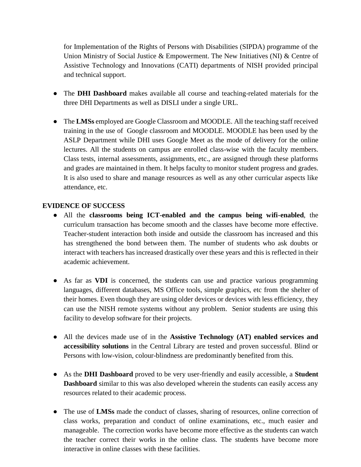for Implementation of the Rights of Persons with Disabilities (SIPDA) programme of the Union Ministry of Social Justice & Empowerment. The New Initiatives (NI) & Centre of Assistive Technology and Innovations (CATI) departments of NISH provided principal and technical support.

- The **DHI Dashboard** makes available all course and teaching-related materials for the three DHI Departments as well as DISLI under a single URL.
- The **LMSs** employed are Google Classroom and MOODLE. All the teaching staff received training in the use of Google classroom and MOODLE. MOODLE has been used by the ASLP Department while DHI uses Google Meet as the mode of delivery for the online lectures. All the students on campus are enrolled class-wise with the faculty members. Class tests, internal assessments, assignments, etc., are assigned through these platforms and grades are maintained in them. It helps faculty to monitor student progress and grades. It is also used to share and manage resources as well as any other curricular aspects like attendance, etc.

#### **EVIDENCE OF SUCCESS**

- All the **classrooms being ICT-enabled and the campus being wifi-enabled**, the curriculum transaction has become smooth and the classes have become more effective. Teacher-student interaction both inside and outside the classroom has increased and this has strengthened the bond between them. The number of students who ask doubts or interact with teachers has increased drastically over these years and this is reflected in their academic achievement.
- As far as **VDI** is concerned, the students can use and practice various programming languages, different databases, MS Office tools, simple graphics, etc from the shelter of their homes. Even though they are using older devices or devices with less efficiency, they can use the NISH remote systems without any problem. Senior students are using this facility to develop software for their projects.
- All the devices made use of in the **Assistive Technology (AT) enabled services and accessibility solutions** in the Central Library are tested and proven successful. Blind or Persons with low-vision, colour-blindness are predominantly benefited from this.
- As the **DHI Dashboard** proved to be very user-friendly and easily accessible, a **Student Dashboard** similar to this was also developed wherein the students can easily access any resources related to their academic process.
- The use of **LMSs** made the conduct of classes, sharing of resources, online correction of class works, preparation and conduct of online examinations, etc., much easier and manageable. The correction works have become more effective as the students can watch the teacher correct their works in the online class. The students have become more interactive in online classes with these facilities.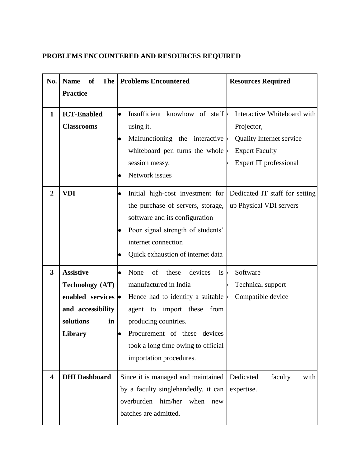# **PROBLEMS ENCOUNTERED AND RESOURCES REQUIRED**

| No.                     | <b>Name</b><br><b>of</b> | <b>The   Problems Encountered</b>              | <b>Resources Required</b>       |  |  |
|-------------------------|--------------------------|------------------------------------------------|---------------------------------|--|--|
|                         | <b>Practice</b>          |                                                |                                 |  |  |
| $\mathbf{1}$            | <b>ICT-Enabled</b>       | Insufficient knowhow of staff<br>$\bullet$     | Interactive Whiteboard with     |  |  |
|                         | <b>Classrooms</b>        | using it.                                      | Projector,                      |  |  |
|                         |                          | Malfunctioning the interactive                 | <b>Quality Internet service</b> |  |  |
|                         |                          | whiteboard pen turns the whole                 | <b>Expert Faculty</b>           |  |  |
|                         |                          | session messy.                                 | Expert IT professional          |  |  |
|                         |                          | Network issues<br>$\bullet$                    |                                 |  |  |
| $\overline{2}$          | <b>VDI</b>               | Initial high-cost investment for<br>$\bullet$  | Dedicated IT staff for setting  |  |  |
|                         |                          | the purchase of servers, storage,              | up Physical VDI servers         |  |  |
|                         |                          | software and its configuration                 |                                 |  |  |
|                         |                          | Poor signal strength of students'<br>$\bullet$ |                                 |  |  |
|                         |                          | internet connection                            |                                 |  |  |
|                         |                          | Quick exhaustion of internet data              |                                 |  |  |
| $\mathbf{3}$            | <b>Assistive</b>         | None<br>of<br>these<br>devices<br>is<br>lo     | Software                        |  |  |
|                         | <b>Technology</b> (AT)   | manufactured in India                          | <b>Technical support</b>        |  |  |
|                         | enabled services •       | Hence had to identify a suitable               | Compatible device               |  |  |
|                         | and accessibility        | from<br>agent to import these                  |                                 |  |  |
|                         | solutions<br>in          | producing countries.                           |                                 |  |  |
|                         | <b>Library</b>           | Procurement of these devices                   |                                 |  |  |
|                         |                          | took a long time owing to official             |                                 |  |  |
|                         |                          | importation procedures.                        |                                 |  |  |
| $\overline{\mathbf{4}}$ | <b>DHI</b> Dashboard     | Since it is managed and maintained             | Dedicated<br>faculty<br>with    |  |  |
|                         |                          | by a faculty singlehandedly, it can            | expertise.                      |  |  |
|                         |                          | him/her<br>overburden<br>when<br>new           |                                 |  |  |
|                         |                          | batches are admitted.                          |                                 |  |  |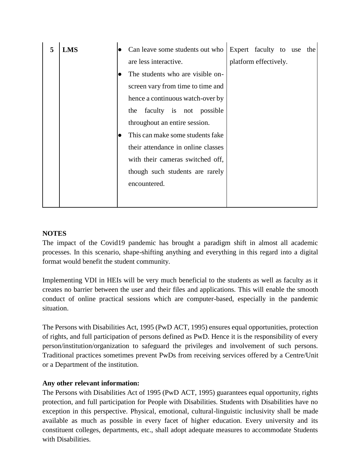| 5 | <b>LMS</b> | Can leave some students out who    | Expert faculty to use |  | the |
|---|------------|------------------------------------|-----------------------|--|-----|
|   |            | are less interactive.              | platform effectively. |  |     |
|   |            | The students who are visible on-   |                       |  |     |
|   |            | screen vary from time to time and  |                       |  |     |
|   |            | hence a continuous watch-over by   |                       |  |     |
|   |            | faculty is not possible<br>the     |                       |  |     |
|   |            | throughout an entire session.      |                       |  |     |
|   |            | This can make some students fake   |                       |  |     |
|   |            | their attendance in online classes |                       |  |     |
|   |            | with their cameras switched off,   |                       |  |     |
|   |            | though such students are rarely    |                       |  |     |
|   |            | encountered.                       |                       |  |     |
|   |            |                                    |                       |  |     |
|   |            |                                    |                       |  |     |

#### **NOTES**

The impact of the Covid19 pandemic has brought a paradigm shift in almost all academic processes. In this scenario, shape-shifting anything and everything in this regard into a digital format would benefit the student community.

Implementing VDI in HEIs will be very much beneficial to the students as well as faculty as it creates no barrier between the user and their files and applications. This will enable the smooth conduct of online practical sessions which are computer-based, especially in the pandemic situation.

The Persons with Disabilities Act, 1995 (PwD ACT, 1995) ensures equal opportunities, protection of rights, and full participation of persons defined as PwD. Hence it is the responsibility of every person/institution/organization to safeguard the privileges and involvement of such persons. Traditional practices sometimes prevent PwDs from receiving services offered by a Centre/Unit or a Department of the institution.

#### **Any other relevant information:**

The Persons with Disabilities Act of 1995 (PwD ACT, 1995) guarantees equal opportunity, rights protection, and full participation for People with Disabilities. Students with Disabilities have no exception in this perspective. Physical, emotional, cultural-linguistic inclusivity shall be made available as much as possible in every facet of higher education. Every university and its constituent colleges, departments, etc., shall adopt adequate measures to accommodate Students with Disabilities.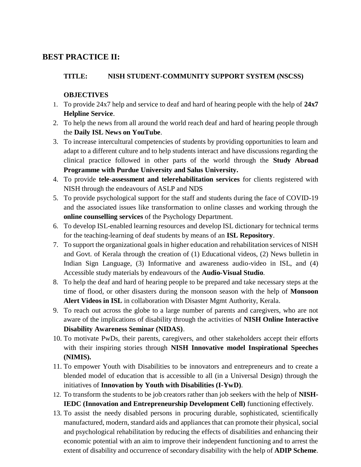# **BEST PRACTICE II:**

# **TITLE: NISH STUDENT-COMMUNITY SUPPORT SYSTEM (NSCSS)**

#### **OBJECTIVES**

- 1. To provide 24x7 help and service to deaf and hard of hearing people with the help of **24x7 Helpline Service**.
- 2. To help the news from all around the world reach deaf and hard of hearing people through the **Daily ISL News on YouTube**.
- 3. To increase intercultural competencies of students by providing opportunities to learn and adapt to a different culture and to help students interact and have discussions regarding the clinical practice followed in other parts of the world through the **Study Abroad Programme with Purdue University and Salus University.**
- 4. To provide **tele-assessment and telerehabilitation services** for clients registered with NISH through the endeavours of ASLP and NDS
- 5. To provide psychological support for the staff and students during the face of COVID-19 and the associated issues like transformation to online classes and working through the **online counselling services** of the Psychology Department.
- 6. To develop ISL-enabled learning resources and develop ISL dictionary for technical terms for the teaching-learning of deaf students by means of an **ISL Repository**.
- 7. To support the organizational goals in higher education and rehabilitation services of NISH and Govt. of Kerala through the creation of (1) Educational videos, (2) News bulletin in Indian Sign Language, (3) Informative and awareness audio-video in ISL, and (4) Accessible study materials by endeavours of the **Audio-Visual Studio**.
- 8. To help the deaf and hard of hearing people to be prepared and take necessary steps at the time of flood, or other disasters during the monsoon season with the help of **Monsoon Alert Videos in ISL** in collaboration with Disaster Mgmt Authority, Kerala.
- 9. To reach out across the globe to a large number of parents and caregivers, who are not aware of the implications of disability through the activities of **NISH Online Interactive Disability Awareness Seminar (NIDAS)**.
- 10. To motivate PwDs, their parents, caregivers, and other stakeholders accept their efforts with their inspiring stories through **NISH Innovative model Inspirational Speeches (NIMIS).**
- 11. To empower Youth with Disabilities to be innovators and entrepreneurs and to create a blended model of education that is accessible to all (in a Universal Design) through the initiatives of **Innovation by Youth with Disabilities (I-YwD)**.
- 12. To transform the students to be job creators rather than job seekers with the help of **NISH-IEDC (Innovation and Entrepreneurship Development Cell)** functioning effectively.
- 13. To assist the needy disabled persons in procuring durable, sophisticated, scientifically manufactured, modern, standard aids and appliances that can promote their physical, social and psychological rehabilitation by reducing the effects of disabilities and enhancing their economic potential with an aim to improve their independent functioning and to arrest the extent of disability and occurrence of secondary disability with the help of **ADIP Scheme**.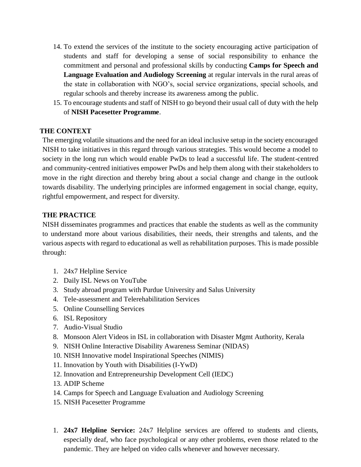- 14. To extend the services of the institute to the society encouraging active participation of students and staff for developing a sense of social responsibility to enhance the commitment and personal and professional skills by conducting **Camps for Speech and Language Evaluation and Audiology Screening** at regular intervals in the rural areas of the state in collaboration with NGO's, social service organizations, special schools, and regular schools and thereby increase its awareness among the public.
- 15. To encourage students and staff of NISH to go beyond their usual call of duty with the help of **NISH Pacesetter Programme**.

#### **THE CONTEXT**

The emerging volatile situations and the need for an ideal inclusive setup in the society encouraged NISH to take initiatives in this regard through various strategies. This would become a model to society in the long run which would enable PwDs to lead a successful life. The student-centred and community-centred initiatives empower PwDs and help them along with their stakeholders to move in the right direction and thereby bring about a social change and change in the outlook towards disability. The underlying principles are informed engagement in social change, equity, rightful empowerment, and respect for diversity.

#### **THE PRACTICE**

NISH disseminates programmes and practices that enable the students as well as the community to understand more about various disabilities, their needs, their strengths and talents, and the various aspects with regard to educational as well as rehabilitation purposes. This is made possible through:

- 1. 24x7 Helpline Service
- 2. Daily ISL News on YouTube
- 3. Study abroad program with Purdue University and Salus University
- 4. Tele-assessment and Telerehabilitation Services
- 5. Online Counselling Services
- 6. ISL Repository
- 7. Audio-Visual Studio
- 8. Monsoon Alert Videos in ISL in collaboration with Disaster Mgmt Authority, Kerala
- 9. NISH Online Interactive Disability Awareness Seminar (NIDAS)
- 10. NISH Innovative model Inspirational Speeches (NIMIS)
- 11. Innovation by Youth with Disabilities (I-YwD)
- 12. Innovation and Entrepreneurship Development Cell (IEDC)
- 13. ADIP Scheme
- 14. Camps for Speech and Language Evaluation and Audiology Screening
- 15. NISH Pacesetter Programme
- 1. **24x7 Helpline Service:** 24x7 Helpline services are offered to students and clients, especially deaf, who face psychological or any other problems, even those related to the pandemic. They are helped on video calls whenever and however necessary.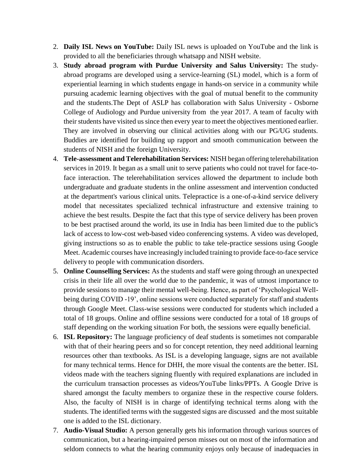- 2. **Daily ISL News on YouTube:** Daily ISL news is uploaded on YouTube and the link is provided to all the beneficiaries through whatsapp and NISH website.
- 3. **Study abroad program with Purdue University and Salus University:** The studyabroad programs are developed using a service-learning (SL) model, which is a form of experiential learning in which students engage in hands-on service in a community while pursuing academic learning objectives with the goal of mutual benefit to the community and the students.The Dept of ASLP has collaboration with Salus University - Osborne College of Audiology and Purdue university from the year 2017. A team of faculty with their students have visited us since then every year to meet the objectives mentioned earlier. They are involved in observing our clinical activities along with our PG/UG students. Buddies are identified for building up rapport and smooth communication between the students of NISH and the foreign University.
- 4. **Tele-assessment and Telerehabilitation Services:** NISH began offering telerehabilitation services in 2019. It began as a small unit to serve patients who could not travel for face-toface interaction. The telerehabilitation services allowed the department to include both undergraduate and graduate students in the online assessment and intervention conducted at the department's various clinical units. Telepractice is a one-of-a-kind service delivery model that necessitates specialized technical infrastructure and extensive training to achieve the best results. Despite the fact that this type of service delivery has been proven to be best practised around the world, its use in India has been limited due to the public's lack of access to low-cost web-based video conferencing systems. A video was developed, giving instructions so as to enable the public to take tele-practice sessions using Google Meet. Academic courses have increasingly included training to provide face-to-face service delivery to people with communication disorders.
- 5. **Online Counselling Services:** As the students and staff were going through an unexpected crisis in their life all over the world due to the pandemic, it was of utmost importance to provide sessions to manage their mental well-being. Hence, as part of 'Psychological Wellbeing during COVID -19', online sessions were conducted separately for staff and students through Google Meet. Class-wise sessions were conducted for students which included a total of 18 groups. Online and offline sessions were conducted for a total of 18 groups of staff depending on the working situation For both, the sessions were equally beneficial.
- 6. **ISL Repository:** The language proficiency of deaf students is sometimes not comparable with that of their hearing peers and so for concept retention, they need additional learning resources other than textbooks. As ISL is a developing language, signs are not available for many technical terms. Hence for DHH, the more visual the contents are the better. ISL videos made with the teachers signing fluently with required explanations are included in the curriculum transaction processes as videos/YouTube links/PPTs. A Google Drive is shared amongst the faculty members to organize these in the respective course folders. Also, the faculty of NISH is in charge of identifying technical terms along with the students. The identified terms with the suggested signs are discussed and the most suitable one is added to the ISL dictionary.
- 7. **Audio-Visual Studio:** A person generally gets his information through various sources of communication, but a hearing-impaired person misses out on most of the information and seldom connects to what the hearing community enjoys only because of inadequacies in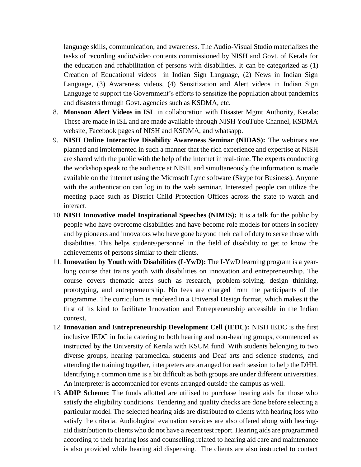language skills, communication, and awareness. The Audio-Visual Studio materializes the tasks of recording audio/video contents commissioned by NISH and Govt. of Kerala for the education and rehabilitation of persons with disabilities. It can be categorized as (1) Creation of Educational videos in Indian Sign Language, (2) News in Indian Sign Language, (3) Awareness videos, (4) Sensitization and Alert videos in Indian Sign Language to support the Government's efforts to sensitize the population about pandemics and disasters through Govt. agencies such as KSDMA, etc.

- 8. **Monsoon Alert Videos in ISL** in collaboration with Disaster Mgmt Authority, Kerala: These are made in ISL and are made available through NISH YouTube Channel, KSDMA website, Facebook pages of NISH and KSDMA, and whatsapp.
- 9. **NISH Online Interactive Disability Awareness Seminar (NIDAS):** The webinars are planned and implemented in such a manner that the rich experience and expertise at NISH are shared with the public with the help of the internet in real-time. The experts conducting the workshop speak to the audience at NISH, and simultaneously the information is made available on the internet using the Microsoft Lync software (Skype for Business). Anyone with the authentication can log in to the web seminar. Interested people can utilize the meeting place such as District Child Protection Offices across the state to watch and interact.
- 10. **NISH Innovative model Inspirational Speeches (NIMIS):** It is a talk for the public by people who have overcome disabilities and have become role models for others in society and by pioneers and innovators who have gone beyond their call of duty to serve those with disabilities. This helps students/personnel in the field of disability to get to know the achievements of persons similar to their clients.
- 11. **Innovation by Youth with Disabilities (I-YwD):** The I-YwD learning program is a yearlong course that trains youth with disabilities on innovation and entrepreneurship. The course covers thematic areas such as research, problem-solving, design thinking, prototyping, and entrepreneurship. No fees are charged from the participants of the programme. The curriculum is rendered in a Universal Design format, which makes it the first of its kind to facilitate Innovation and Entrepreneurship accessible in the Indian context.
- 12. **Innovation and Entrepreneurship Development Cell (IEDC):** NISH IEDC is the first inclusive IEDC in India catering to both hearing and non-hearing groups, commenced as instructed by the University of Kerala with KSUM fund. With students belonging to two diverse groups, hearing paramedical students and Deaf arts and science students, and attending the training together, interpreters are arranged for each session to help the DHH. Identifying a common time is a bit difficult as both groups are under different universities. An interpreter is accompanied for events arranged outside the campus as well.
- 13. **ADIP Scheme:** The funds allotted are utilised to purchase hearing aids for those who satisfy the eligibility conditions. Tendering and quality checks are done before selecting a particular model. The selected hearing aids are distributed to clients with hearing loss who satisfy the criteria. Audiological evaluation services are also offered along with hearingaid distribution to clients who do not have a recent test report. Hearing aids are programmed according to their hearing loss and counselling related to hearing aid care and maintenance is also provided while hearing aid dispensing. The clients are also instructed to contact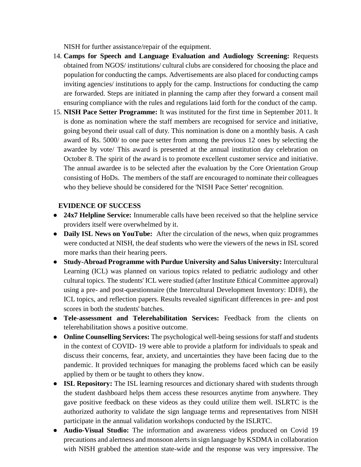NISH for further assistance/repair of the equipment.

- 14. **Camps for Speech and Language Evaluation and Audiology Screening:** Requests obtained from NGOS/ institutions/ cultural clubs are considered for choosing the place and population for conducting the camps. Advertisements are also placed for conducting camps inviting agencies/ institutions to apply for the camp. Instructions for conducting the camp are forwarded. Steps are initiated in planning the camp after they forward a consent mail ensuring compliance with the rules and regulations laid forth for the conduct of the camp.
- 15. **NISH Pace Setter Programme:** It was instituted for the first time in September 2011. It is done as nomination where the staff members are recognised for service and initiative, going beyond their usual call of duty. This nomination is done on a monthly basis. A cash award of Rs. 5000/ to one pace setter from among the previous 12 ones by selecting the awardee by vote/ This award is presented at the annual institution day celebration on October 8. The spirit of the award is to promote excellent customer service and initiative. The annual awardee is to be selected after the evaluation by the Core Orientation Group consisting of HoDs. The members of the staff are encouraged to nominate their colleagues who they believe should be considered for the 'NISH Pace Setter' recognition.

#### **EVIDENCE OF SUCCESS**

- **24x7 Helpline Service:** Innumerable calls have been received so that the helpline service providers itself were overwhelmed by it.
- **Daily ISL News on YouTube:** After the circulation of the news, when quiz programmes were conducted at NISH, the deaf students who were the viewers of the news in ISL scored more marks than their hearing peers.
- **Study-Abroad Programme with Purdue University and Salus University:** Intercultural Learning (ICL) was planned on various topics related to pediatric audiology and other cultural topics. The students' ICL were studied (after Institute Ethical Committee approval) using a pre- and post-questionnaire (the Intercultural Development Inventory: IDI®), the ICL topics, and reflection papers. Results revealed significant differences in pre- and post scores in both the students' batches.
- **Tele-assessment and Telerehabilitation Services:** Feedback from the clients on telerehabilitation shows a positive outcome.
- **Online Counselling Services:** The psychological well-being sessions for staff and students in the context of COVID- 19 were able to provide a platform for individuals to speak and discuss their concerns, fear, anxiety, and uncertainties they have been facing due to the pandemic. It provided techniques for managing the problems faced which can be easily applied by them or be taught to others they know.
- **ISL Repository:** The ISL learning resources and dictionary shared with students through the student dashboard helps them access these resources anytime from anywhere. They gave positive feedback on these videos as they could utilize them well. ISLRTC is the authorized authority to validate the sign language terms and representatives from NISH participate in the annual validation workshops conducted by the ISLRTC.
- **Audio-Visual Studio:** The information and awareness videos produced on Covid 19 precautions and alertness and monsoon alerts in sign language by KSDMA in collaboration with NISH grabbed the attention state-wide and the response was very impressive. The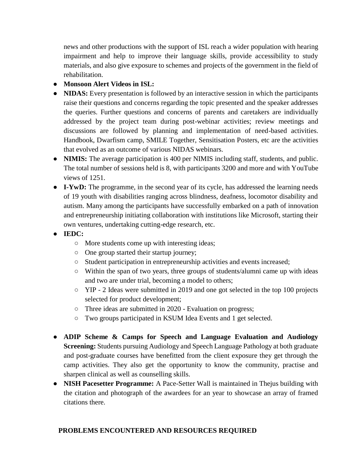news and other productions with the support of ISL reach a wider population with hearing impairment and help to improve their language skills, provide accessibility to study materials, and also give exposure to schemes and projects of the government in the field of rehabilitation.

- **Monsoon Alert Videos in ISL:**
- **NIDAS:** Every presentation is followed by an interactive session in which the participants raise their questions and concerns regarding the topic presented and the speaker addresses the queries. Further questions and concerns of parents and caretakers are individually addressed by the project team during post-webinar activities; review meetings and discussions are followed by planning and implementation of need-based activities. Handbook, Dwarfism camp, SMILE Together, Sensitisation Posters, etc are the activities that evolved as an outcome of various NIDAS webinars.
- **NIMIS:** The average participation is 400 per NIMIS including staff, students, and public. The total number of sessions held is 8, with participants 3200 and more and with YouTube views of 1251.
- **I-YwD:** The programme, in the second year of its cycle, has addressed the learning needs of 19 youth with disabilities ranging across blindness, deafness, locomotor disability and autism. Many among the participants have successfully embarked on a path of innovation and entrepreneurship initiating collaboration with institutions like Microsoft, starting their own ventures, undertaking cutting-edge research, etc.
- **IEDC:** 
	- More students come up with interesting ideas;
	- One group started their startup journey;
	- Student participation in entrepreneurship activities and events increased;
	- Within the span of two years, three groups of students/alumni came up with ideas and two are under trial, becoming a model to others;
	- $\circ$  YIP 2 Ideas were submitted in 2019 and one got selected in the top 100 projects selected for product development;
	- Three ideas are submitted in 2020 Evaluation on progress;
	- Two groups participated in KSUM Idea Events and 1 get selected.
- **ADIP Scheme & Camps for Speech and Language Evaluation and Audiology Screening:** Students pursuing Audiology and Speech Language Pathology at both graduate and post-graduate courses have benefitted from the client exposure they get through the camp activities. They also get the opportunity to know the community, practise and sharpen clinical as well as counselling skills.
- **NISH Pacesetter Programme:** A Pace-Setter Wall is maintained in Thejus building with the citation and photograph of the awardees for an year to showcase an array of framed citations there.

#### **PROBLEMS ENCOUNTERED AND RESOURCES REQUIRED**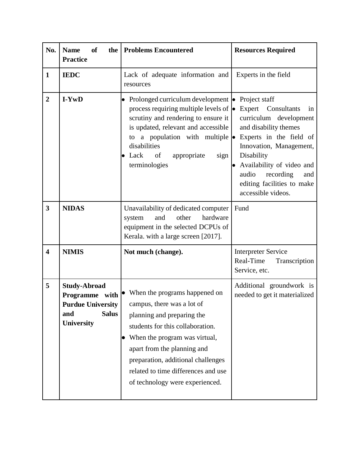| No.                     | <b>of</b><br><b>Name</b><br>the  <br><b>Practice</b>                                                          | <b>Problems Encountered</b>                                                                                                                                                                                                                                                                                                                                         | <b>Resources Required</b>                                                                                                                                                                                    |
|-------------------------|---------------------------------------------------------------------------------------------------------------|---------------------------------------------------------------------------------------------------------------------------------------------------------------------------------------------------------------------------------------------------------------------------------------------------------------------------------------------------------------------|--------------------------------------------------------------------------------------------------------------------------------------------------------------------------------------------------------------|
| $\mathbf{1}$            | <b>IEDC</b>                                                                                                   | Lack of adequate information and<br>resources                                                                                                                                                                                                                                                                                                                       | Experts in the field                                                                                                                                                                                         |
| $\overline{2}$          | I-YwD                                                                                                         | Prolonged curriculum development • Project staff<br>$\bullet$<br>process requiring multiple levels of $\bullet$ Expert Consultants<br>scrutiny and rendering to ensure it<br>is updated, relevant and accessible<br>to a population with multiple $\bullet$ Experts in the field of<br>disabilities<br>$\bullet$ Lack<br>of<br>appropriate<br>sign<br>terminologies | in<br>curriculum development<br>and disability themes<br>Innovation, Management,<br>Disability<br>Availability of video and<br>audio<br>recording<br>and<br>editing facilities to make<br>accessible videos. |
| $\overline{\mathbf{3}}$ | <b>NIDAS</b>                                                                                                  | Unavailability of dedicated computer<br>hardware<br>and<br>other<br>system<br>equipment in the selected DCPUs of<br>Kerala. with a large screen [2017].                                                                                                                                                                                                             | Fund                                                                                                                                                                                                         |
| $\overline{\mathbf{4}}$ | <b>NIMIS</b>                                                                                                  | Not much (change).                                                                                                                                                                                                                                                                                                                                                  | <b>Interpreter Service</b><br>Real-Time<br>Transcription<br>Service, etc.                                                                                                                                    |
| 5                       | <b>Study-Abroad</b><br>Programme with<br><b>Purdue University</b><br><b>Salus</b><br>and<br><b>University</b> | When the programs happened on<br>campus, there was a lot of<br>planning and preparing the<br>students for this collaboration.<br>When the program was virtual,<br>$\bullet$<br>apart from the planning and<br>preparation, additional challenges<br>related to time differences and use<br>of technology were experienced.                                          | Additional groundwork is<br>needed to get it materialized                                                                                                                                                    |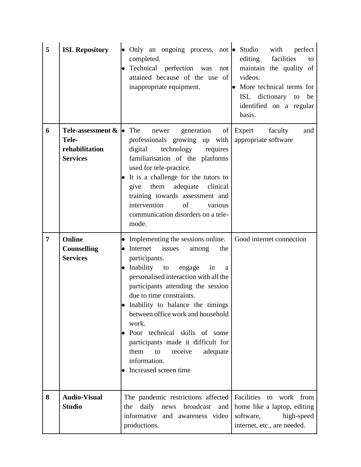| 5 | <b>ISL Repository</b>                                                            | • Only an ongoing process, not • Studio<br>completed.<br>Technical perfection was<br>not<br>$\bullet$<br>attained because of the use of<br>inappropriate equipment.                                                                                                                                                                                                                                                                                                                     | perfect<br>with<br>facilities<br>editing<br>to<br>maintain the quality of<br>videos.<br>• More technical terms for<br>ISL dictionary to<br>be<br>identified on a regular<br>basis. |
|---|----------------------------------------------------------------------------------|-----------------------------------------------------------------------------------------------------------------------------------------------------------------------------------------------------------------------------------------------------------------------------------------------------------------------------------------------------------------------------------------------------------------------------------------------------------------------------------------|------------------------------------------------------------------------------------------------------------------------------------------------------------------------------------|
| 6 | Tele-assessment $\&$ $\bullet$ The<br>Tele-<br>rehabilitation<br><b>Services</b> | generation<br>$\sigma$<br>newer<br>professionals growing up with<br>technology requires<br>digital<br>familiarisation of the platforms<br>used for tele-practice.<br>It is a challenge for the tutors to<br>give them adequate<br>clinical<br>training towards assessment and<br>intervention<br>of<br>various<br>communication disorders on a tele-<br>mode.                                                                                                                           | Expert<br>faculty<br>and<br>appropriate software                                                                                                                                   |
| 7 | Online<br><b>Counselling</b><br><b>Services</b>                                  | • Implementing the sessions online.<br>• Internet<br>issues<br>the<br>among<br>participants.<br>• Inability to<br>in<br>engage<br>a<br>personalised interaction with all the<br>participants attending the session<br>due to time constraints.<br>• Inability to balance the timings<br>between office work and household<br>work.<br>Poor technical skills of some<br>participants made it difficult for<br>them<br>adequate<br>to<br>receive<br>information.<br>Increased screen time | Good internet connection                                                                                                                                                           |
| 8 | <b>Audio-Visual</b><br><b>Studio</b>                                             | The pandemic restrictions affected<br>daily news<br>broadcast<br>the<br>and<br>informative and awareness video<br>productions.                                                                                                                                                                                                                                                                                                                                                          | Facilities<br>to work from<br>home like a laptop, editing<br>high-speed<br>software,<br>internet, etc., are needed.                                                                |